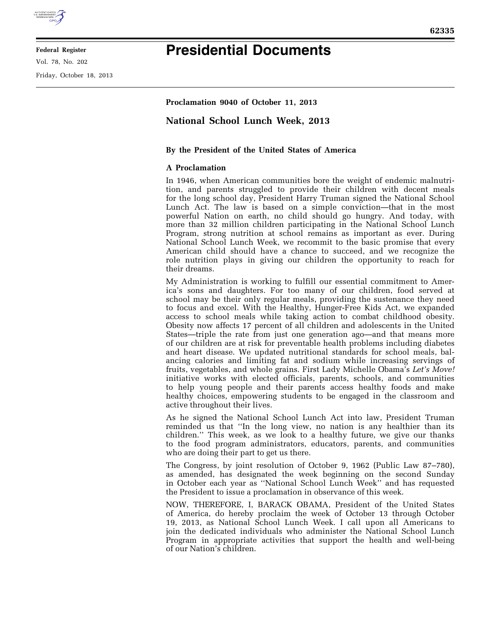

**Federal Register** 

Vol. 78, No. 202

Friday, October 18, 2013

## **Presidential Documents**

**Proclamation 9040 of October 11, 2013** 

## **National School Lunch Week, 2013**

## **By the President of the United States of America**

## **A Proclamation**

In 1946, when American communities bore the weight of endemic malnutrition, and parents struggled to provide their children with decent meals for the long school day, President Harry Truman signed the National School Lunch Act. The law is based on a simple conviction—that in the most powerful Nation on earth, no child should go hungry. And today, with more than 32 million children participating in the National School Lunch Program, strong nutrition at school remains as important as ever. During National School Lunch Week, we recommit to the basic promise that every American child should have a chance to succeed, and we recognize the role nutrition plays in giving our children the opportunity to reach for their dreams.

My Administration is working to fulfill our essential commitment to America's sons and daughters. For too many of our children, food served at school may be their only regular meals, providing the sustenance they need to focus and excel. With the Healthy, Hunger-Free Kids Act, we expanded access to school meals while taking action to combat childhood obesity. Obesity now affects 17 percent of all children and adolescents in the United States—triple the rate from just one generation ago—and that means more of our children are at risk for preventable health problems including diabetes and heart disease. We updated nutritional standards for school meals, balancing calories and limiting fat and sodium while increasing servings of fruits, vegetables, and whole grains. First Lady Michelle Obama's *Let's Move!*  initiative works with elected officials, parents, schools, and communities to help young people and their parents access healthy foods and make healthy choices, empowering students to be engaged in the classroom and active throughout their lives.

As he signed the National School Lunch Act into law, President Truman reminded us that ''In the long view, no nation is any healthier than its children." This week, as we look to a healthy future, we give our thanks to the food program administrators, educators, parents, and communities who are doing their part to get us there.

The Congress, by joint resolution of October 9, 1962 (Public Law 87–780), as amended, has designated the week beginning on the second Sunday in October each year as ''National School Lunch Week'' and has requested the President to issue a proclamation in observance of this week.

NOW, THEREFORE, I, BARACK OBAMA, President of the United States of America, do hereby proclaim the week of October 13 through October 19, 2013, as National School Lunch Week. I call upon all Americans to join the dedicated individuals who administer the National School Lunch Program in appropriate activities that support the health and well-being of our Nation's children.